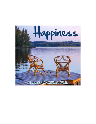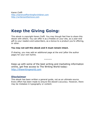Karen Cioffi http://karencioffiwritingforchildren.com http://writersonthemove.com

# Keep the Giving Going:

This ebook is copyright Karen Cioffi. You may though feel free to share this ebook with others. You can offer it as a freebie on your site, as a year-end gift to your readers and subscribers, as a bonus to a product you're offering, or other.

#### You may not sell this ebook and it must remain intact.

If sharing, you may add an additional page at the end (after the author page) for your own byline.

 $N$  $N$  $N$  $N$ 

Keep up with some of the best writing and marketing information online, get free access to The Writing World today: http://thewritingworld.com

## Disclaimer

This ebook has been written a general guide, not as an ultimate source. Every effort has been made to ensure the ebook's accuracy. However, there may be mistakes in typography or content.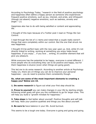According to Psychology Today, "research in the field of positive psychology and happiness often define a happy person as someone who experiences frequent positive emotions, such as joy, interest, and pride, and infrequent (though not absent) negative emotions, such as sadness, anxiety and anger. $''(1)$ 

Happiness also has to do with being satisfied or content and appreciating life.

I thought of this topic because of a Twitter post I read on Things We Can Control.

I read through the list of 11 items and noted that a couple really weren't things that were completely within our control. But the one that struck me was Happiness.

I thought it'd be perfect topic with the new year upon us. And, while it's not directly linked to writing, working at something you enjoy helps boost happiness. If you enjoy ... if you love ... writing, it's another element that will give you pleasure.

While everyone has the potential to be happy, everyone is wired different. I know people who do everything they can to be positive and happy, but for them happiness is elusive (even when things are going good).

This led me to do some research. According to another article at Psychology Today (2), there are 23 things you can do to improve your personal happiness – you do need to practice them consistently though.

#### So, what are some of the most important elements to creating a happy you? Below are 10.

1. Do some research to figure out what your first step should be.

**2. Prove to yourself** you can make changes in your life by starting simple. Achieving small goals will give you the confidence to go for larger ones. This will help you build a "growth mindset for happiness."

**3. Take steps** to feel better about yourself. Positive thoughts and self-talk will help. Note your positive qualities and things you like about yourself.

4. Be sure to have balance in your life. Avoid burnout.

This seems to be a tough one today. Everyone is going and going and going.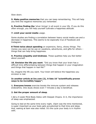Slow down.

**5. Make positive memories** that you can keep remembering. This will help you limit the negative memories you remember.

**6. Practice finding the** 'silver linings' in all event in your life. If you do this often enough, you will help yourself cultivate a happiness attitude.

#### 7. Limit your social media usage.

Some studies are finding a correlation between heavy social media use and a decrease in happiness. This seems to be especially true of Facebook and Instagram.

**8 Think twice about spending** on expensive, fancy, showy things. The money you save can be use on vacations, adventures, and gifts for others – things that can help bring happiness.

**9. Practice empathy and kindness**. These qualities help you feel better about yourself.

10. Envision the life you want. "Did you know that your brain has a difficult time differentiating between things that happen in your imagination and things that happen in real life?"

So, imagine the life you want. Your brain will believe the happiness you envision is real.

#### In another article at Inc.com (2), it lists 10 "scientifically proven ways to be incredibly happy":

**1. Everyone knows** exercise boosts the immune system and releases endorphins. One study shows even 7 minutes a day is beneficial.

#### 2. Get the proper amount of sleep.

I did a 4-week Mind-Body Detox with Deepak Chopra. In it, the importance of sleep was emphasized.

Going to bed at the same time every night, 10pm was the time mentioned, is super important as your body gets accustomed to that time and sleep. And, waking at 6am was also noted. It's the cycle your body is in rhythm with.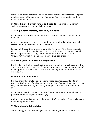Note: The Chopra program and a number of other sources strongly suggest no electronics in the bedroom: no iPhone, no iPad, no computer, nothing digital, and no lights.

**3. Make time to be with family and friends.** This type of in-person socialization creates and builds happiness.

#### 4. Being outside matters, especially in nature.

According to one study, spending just 20 minutes outdoors, helped boost happiness.

Ayurvedic wisdom teaches that being in nature and walking barefoot helps create harmony between you and the earth.

Looking at it scientifically according to Life Advancer, "the Earth conducts electricity through a negative ionic charge, while your body produces and conducts positive electricity, that if left alone, can harm you. So, by 'grounding' yourself, you balance out your electrical charge." (4)

#### 5. Have a generous heart and help others.

Study after study show that helping others can make you feel happy. In the Inc.com article, it explains that "100 hours per year (or two hours per week) is the optimal time we should dedicate to helping others in order to enrich our lives." (3)

#### 6. Smile your blues away.

Studies show that smiling is a powerful mood booster. According to an article at Buffer.com, "smiling stimulates our brain's reward mechanisms in a way that even chocolate, a well-regarded pleasure-inducer, cannot match." (6)

According to PsyBlog, smiling can also "improve our attention and help us perform better on cognitive tasks." (5)

An important note is that this only works with 'real' smiles. Fake smiling can have the opposite effect.

#### 7. Make plans to take a trip.

Interestingly, this helps boost your mood even if you don't take the trip.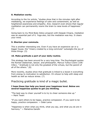#### 8. Mediation works.

According to the Inc article, "studies show that in the minutes right after meditating, we experience feelings of calm and contentment, as well as heightened awareness and empathy. And, research even shows that regular meditation can permanently rewire the brain to raise levels of happiness." (3)

Going back to my Mind Body Detox program with Deepak Chopra, mediation was an essential part of it. Yoga also, but the mediation was key. It clears your mind.

#### 9. Shorten your commute.

This is another interesting one. Even if you have an expensive car or a bigger house, the "misery created by a long commute" outweighs the joy of those things. (3)

#### 10. Make gratitude a part of your daily routine.

This strategy has been around for a very long time. The Psychologist quotes the Roman statesman, lawyer, and philosopher, Marcus Tullius Cicero (106- 43bc), " Gratitude is not only the greatest of the virtues, but the parent of all of the others." (8)

More recently, studies show that gratitude is linked to a boost in everything from energy to motivation to satisfaction. It's shown to help with sleep and health as well as reduce stress. (7)

### Practicing gratitude is kind of a magic bullet.

#### I hope these tips help you boost your happiness level. Below are several happiness quotes to get you thinking.

"The best way to cheer yourself is to try to cheer someone else up."  $\sim$  Mark Twain

"If you want others to be happy, practice compassion. If you want to be happy, practice compassion.  $\sim$  Dalai Lama

"Happiness is when what you think, what you say, and what you do are in harmony." ~ Mahatma Gandhi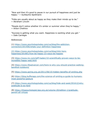"Now and then it's good to pause in our pursuit of happiness and just be happy." ~ Guillaume Apollinaire

"Folks are usually about as happy as they make their minds up to be."  $\sim$  Abraham Lincoln

"People don't notice whether it's winter or summer when they're happy."  $\sim$  Anton Chekhov

"Success is getting what you want. Happiness is wanting what you get."  $\sim$  Dale Carnegie

References:

(1) https://www.psychologytoday.com/us/blog/the-addictionconnection/201506/whats-your-definition-happiness

(2) https://www.psychologytoday.com/us/blog/click-herehappiness/201801/how-be-happy-23-ways-be-happier

(3) https://www.inc.com/jeff-haden/10-scientifically-proven-ways-to-beincredibly-happy-wed.html

(4) https://www.lifeadvancer.com/here-is-why-you-should-practice-walkingbarefoot-outdoors/

(5) https://www.spring.org.uk/2011/06/10-hidden-benefits-of-smiling.php

(6) https://blog.bufferapp.com/the-science-of-smiling-a-guide-to-humansmost-powerful-gesture

(7) https://www.psychologytoday.com/us/blog/hide-and-seek/201612/whygratitude-is-so-hard

(8) https://thepsychologist.bps.org.uk/volume-20/edition-1/gratitudeparent-all-virtues